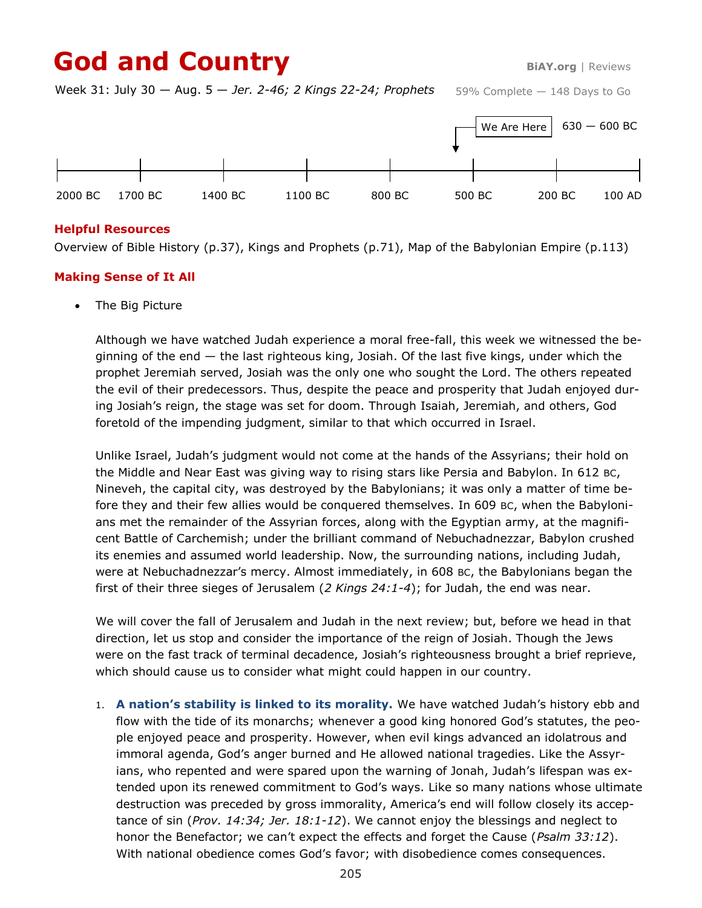# God and Country **BiAY.org** | Reviews

Week 31: July 30 — Aug. 5 — *Jer. 2-46; 2 Kings 22-24; Prophets*



### **Helpful Resources**

Overview of Bible History (p.37), Kings and Prophets (p.71), Map of the Babylonian Empire (p.113)

### **Making Sense of It All**

The Big Picture

Although we have watched Judah experience a moral free-fall, this week we witnessed the beginning of the end — the last righteous king, Josiah. Of the last five kings, under which the prophet Jeremiah served, Josiah was the only one who sought the Lord. The others repeated the evil of their predecessors. Thus, despite the peace and prosperity that Judah enjoyed during Josiah's reign, the stage was set for doom. Through Isaiah, Jeremiah, and others, God foretold of the impending judgment, similar to that which occurred in Israel.

Unlike Israel, Judah's judgment would not come at the hands of the Assyrians; their hold on the Middle and Near East was giving way to rising stars like Persia and Babylon. In 612 BC, Nineveh, the capital city, was destroyed by the Babylonians; it was only a matter of time before they and their few allies would be conquered themselves. In 609 BC, when the Babylonians met the remainder of the Assyrian forces, along with the Egyptian army, at the magnificent Battle of Carchemish; under the brilliant command of Nebuchadnezzar, Babylon crushed its enemies and assumed world leadership. Now, the surrounding nations, including Judah, were at Nebuchadnezzar's mercy. Almost immediately, in 608 BC, the Babylonians began the first of their three sieges of Jerusalem (*2 Kings 24:1-4*); for Judah, the end was near.

We will cover the fall of Jerusalem and Judah in the next review; but, before we head in that direction, let us stop and consider the importance of the reign of Josiah. Though the Jews were on the fast track of terminal decadence, Josiah's righteousness brought a brief reprieve, which should cause us to consider what might could happen in our country.

1. **A nation's stability is linked to its morality.** We have watched Judah's history ebb and flow with the tide of its monarchs; whenever a good king honored God's statutes, the people enjoyed peace and prosperity. However, when evil kings advanced an idolatrous and immoral agenda, God's anger burned and He allowed national tragedies. Like the Assyrians, who repented and were spared upon the warning of Jonah, Judah's lifespan was extended upon its renewed commitment to God's ways. Like so many nations whose ultimate destruction was preceded by gross immorality, America's end will follow closely its acceptance of sin (*Prov. 14:34; Jer. 18:1-12*). We cannot enjoy the blessings and neglect to honor the Benefactor; we can't expect the effects and forget the Cause (*Psalm 33:12*). With national obedience comes God's favor; with disobedience comes consequences.